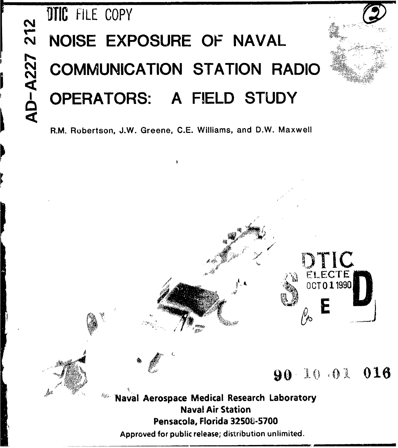# **DTIC FILE COPY** NOISE EXPOSURE OF NAVAL **COMMUNICATION STATION RADIO** OPERATORS: A FIELD STUDY

R.M. Robertson, J.W. Greene, C.E. Williams, and D.W. Maxwell



TIC

ELECTE 0CT 0 1 1990

90 10 01 016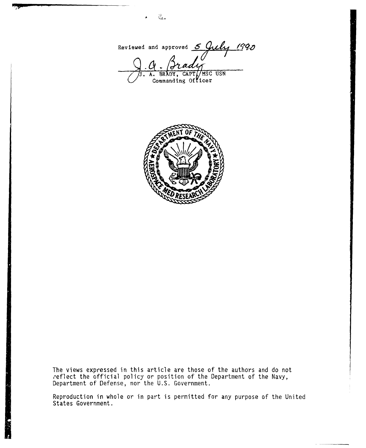Reviewed and approved 5 July 1990 **3.A. BR DY, CAPTý MSC USN**

Commanding **Of icer**

 $\frac{d^2\theta}{d^2\theta\theta}$  .



The views expressed in this article are those of the authors and do not reflect the official policy or position of the Department of the Navy, Department of Defense, nor the U.S. Government.

Reproduction in whole or in part is permitted for any purpose of the United States Government.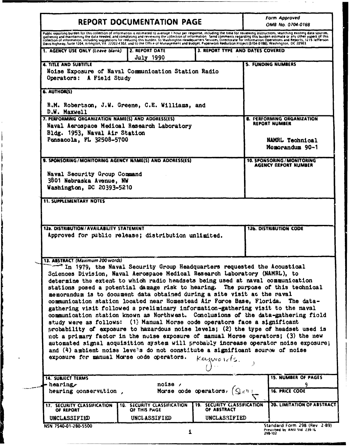|                                                                                                                                                                                                                                                                                                                                                                                                                           | <b>REPORT DOCUMENTATION PAGE</b>                                        |                                                   |                                             | <b>Form Approved</b><br>OMB No. 0704-0188                  |
|---------------------------------------------------------------------------------------------------------------------------------------------------------------------------------------------------------------------------------------------------------------------------------------------------------------------------------------------------------------------------------------------------------------------------|-------------------------------------------------------------------------|---------------------------------------------------|---------------------------------------------|------------------------------------------------------------|
| Public reporting burden for this collection of information is estimated to average 1 hour per response, including the time for reviewing instructions, searching existing data sources,<br>gathering and maintaining the data needed, and completing and reviewing the collection of information. Send comments regarding this burden estimate or any other aspect of this collection of information of information of in |                                                                         |                                                   |                                             |                                                            |
| Davis Highway, Suite 1204, Arlington, VA. 22202-4302, and to the Office of Management and Budget, Paperwork Reduction Project (0704-0188), Washington, DC 20503.                                                                                                                                                                                                                                                          |                                                                         |                                                   |                                             |                                                            |
| 1. AGENCY USE ONLY (Leave blank)                                                                                                                                                                                                                                                                                                                                                                                          | 2. REPORT DATE<br>July 1990                                             | 3. REPORT TYPE AND DATES COVERED                  |                                             |                                                            |
| <b>4. TITLE AND SUBTITLE</b>                                                                                                                                                                                                                                                                                                                                                                                              |                                                                         |                                                   |                                             | <b>5. FUNDING NUMBERS</b>                                  |
| Noise Exposure of Naval Communication Station Radio<br>Operators: A Field Study                                                                                                                                                                                                                                                                                                                                           |                                                                         |                                                   |                                             |                                                            |
| <b>6. AUTHOR(S)</b>                                                                                                                                                                                                                                                                                                                                                                                                       |                                                                         |                                                   |                                             |                                                            |
| R.M. Robertson, J.W. Greene, C.E. Williams, and<br>D.W. Maxwell                                                                                                                                                                                                                                                                                                                                                           |                                                                         |                                                   |                                             |                                                            |
| 7. PERFORMING ORGANIZATION NAME(S) AND ADDRESS(ES)                                                                                                                                                                                                                                                                                                                                                                        |                                                                         |                                                   |                                             | 8. PERFORMING ORGANIZATION                                 |
| Naval Aerospace Medical Research Laboratory                                                                                                                                                                                                                                                                                                                                                                               |                                                                         |                                                   |                                             | <b>REPORT NUMBER</b>                                       |
| Bldg. 1953, Naval Air Station                                                                                                                                                                                                                                                                                                                                                                                             |                                                                         |                                                   |                                             |                                                            |
| Pensacola, FL 32508-5700                                                                                                                                                                                                                                                                                                                                                                                                  |                                                                         |                                                   |                                             | <b>NAMRL Technical</b>                                     |
|                                                                                                                                                                                                                                                                                                                                                                                                                           |                                                                         |                                                   |                                             | Momorandum 90-1                                            |
| 9. SPONSORING/MONITORING AGENCY NAME(S) AND ADDRESS(ES)                                                                                                                                                                                                                                                                                                                                                                   |                                                                         |                                                   |                                             | <b>10. SPONSORING / MONITORING</b><br>AGENCY REPORT NUMBER |
| Naval Security Group Command                                                                                                                                                                                                                                                                                                                                                                                              |                                                                         |                                                   |                                             |                                                            |
| 3801 Nebraska Avenue, NW                                                                                                                                                                                                                                                                                                                                                                                                  |                                                                         |                                                   |                                             |                                                            |
| Washington, DC 20393-5210                                                                                                                                                                                                                                                                                                                                                                                                 |                                                                         |                                                   |                                             |                                                            |
|                                                                                                                                                                                                                                                                                                                                                                                                                           |                                                                         |                                                   |                                             |                                                            |
| Approved for public release; distribution unlimited.                                                                                                                                                                                                                                                                                                                                                                      |                                                                         |                                                   |                                             | <b>126. DISTRIBUTION CODE</b>                              |
|                                                                                                                                                                                                                                                                                                                                                                                                                           |                                                                         |                                                   |                                             |                                                            |
|                                                                                                                                                                                                                                                                                                                                                                                                                           |                                                                         |                                                   |                                             |                                                            |
|                                                                                                                                                                                                                                                                                                                                                                                                                           | In 1979, the Naval Security Group Headquarters requested the Acoustical |                                                   |                                             |                                                            |
| Sciences Division, Naval Aerospace Medical Research Laboratory (NAMRL), to                                                                                                                                                                                                                                                                                                                                                |                                                                         |                                                   |                                             |                                                            |
| determine the extent to which radio headsets being used at naval communication                                                                                                                                                                                                                                                                                                                                            |                                                                         |                                                   |                                             |                                                            |
| stations posed a potential damage risk to hearing. The purpose of this technical                                                                                                                                                                                                                                                                                                                                          |                                                                         |                                                   |                                             |                                                            |
| memorandum is to document data obtained during a site visit at the raval<br>communication station located near Homestead Air Force Base, Florida. The data-                                                                                                                                                                                                                                                               |                                                                         |                                                   |                                             |                                                            |
| gathering visit followed a preliminary information-gathering visit to the naval                                                                                                                                                                                                                                                                                                                                           |                                                                         |                                                   |                                             |                                                            |
| communication station known as Northwest. Conclusions of the data-gathering fiold                                                                                                                                                                                                                                                                                                                                         |                                                                         |                                                   |                                             |                                                            |
| study were as follows: (1) Manual Morse code operators face a significant                                                                                                                                                                                                                                                                                                                                                 |                                                                         |                                                   |                                             |                                                            |
| probability of exposure to hazardous noise levels; (2) the type of headset used is                                                                                                                                                                                                                                                                                                                                        |                                                                         |                                                   |                                             |                                                            |
| not a primary factor in the nuise exposure of manual Morse operators; (3) the new                                                                                                                                                                                                                                                                                                                                         |                                                                         |                                                   |                                             |                                                            |
| automated signal acquisition system will probably increase operator noise exposure;                                                                                                                                                                                                                                                                                                                                       |                                                                         |                                                   |                                             |                                                            |
| and $(4)$ ambient noise levels do not constitute a significant source of noise                                                                                                                                                                                                                                                                                                                                            |                                                                         |                                                   |                                             |                                                            |
| exposure for manual Morse code operators.                                                                                                                                                                                                                                                                                                                                                                                 |                                                                         | $k$ eunno $n$ cts.                                |                                             |                                                            |
| <b>14. SUBJECT TERMS</b>                                                                                                                                                                                                                                                                                                                                                                                                  |                                                                         |                                                   |                                             | <b>15. NUMBER OF PAGES</b>                                 |
| - hearing $\epsilon$                                                                                                                                                                                                                                                                                                                                                                                                      | noise /                                                                 |                                                   |                                             | ۹                                                          |
| hearing conservation,                                                                                                                                                                                                                                                                                                                                                                                                     |                                                                         | Morse code operators,                             | $\mathsf{Q}_{\mathcal{X}}$ $\mathfrak{y}$ : | <b>16. PRICE CODE</b>                                      |
| 17. SECURITY CLASSIFICATION<br>OF REPORT                                                                                                                                                                                                                                                                                                                                                                                  | <b>18. SECURITY CLASSIFICATION</b><br>OF THIS PAGE                      | <b>19. SECURITY CLASSIFICATION</b><br>OF ABSTRACT |                                             |                                                            |
| <b>12a. DISTRIBUTION/AVAILABILITY STATEMENT</b><br>13. ABSTRACT (Maximum 200 words)<br>UNCLASSIFIED                                                                                                                                                                                                                                                                                                                       | UNCLASSIFIED                                                            | UNCLASSIFIED                                      |                                             | <b>20. LIMITATION OF ABSTRACT</b>                          |

 $\frac{1}{2}$ 

 $\ddotsc$ 

298-102

l,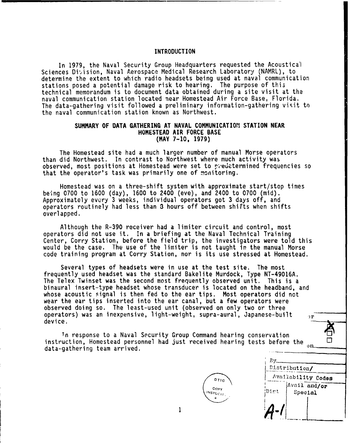# INTRODUCTION

In 1979, the Naval Security Group Headquarters requested the Acoustical Sciences Division, Naval Aerospace Medical Research Laboratory (NAMRL), to determine the extent to which radio headsets being used at naval communication stations posed a potential damage risk to hearing. The purpose of this technical memorandum is to document data obtained during a site visit at the naval communication station located near Homestead Air Force Base, Florida. The data-gathering visit followed a preliminary information-gathering visit to the naval communication station known as Northwest.

# SUMMARY OF DATA GATHERING AT NAVAL COMMUNICATIOM STATION NEAR HOMESTEAD AIR FORCE BASE (MAY 7-10, 1979)

The Homestead site had a much larger number of manual Morse operators than did Northwest. In contrast to Northwest where much activity was observed, most positions at Homestead were set to predetermined frequencies so that the operator's task was primarily one of mcnitoring.

Homestead was on a three-shift system with approximate start/stop times being 0700 to 1600 (day), 1600 to 2400 (eve), and 2400 to 0700 (mid). Approximately every 3 weeks, individual operators got 3 days off, and operators routinely had less than 3 hours off between shifts when shifts overlapped.

Although the R-390 receiver had a limiter circuit and control, most operators did not use it. In a briefing at the Naval Technical Training Center, Corry Station, before the field trip, the investigators were told this would be the case. The use of the limiter is not taught in the manual Morse code training program at Corry Station, nor is its use stressed at Homestead.

Several types of headsets were in use at the test site. The most frequently used headset was the standard Bakelite Murdock, Type NT-49016A. The Telex Twinset was the second most frequently observed unit. This is a binaural insert-type headset whose transducer is located on the headband, and whose acoustic signal is then fed to the ear tips. Most operators did not wear the ear tips inserted into the ear canal, but a few operators were observed doing so. The least-used unit (observed on only two or three operators) was an inexpensive, light-weight, supra-aural, Japanese-built  $\mathbf{r}$ device.

Tn response to a Naval Security Group Command hearing conservation instruction, Homestead personnel had just received hearing tests before the  $_{\text{on}}$ data-gathering team arrived.



**By.\_** ny<del>.<br>Distribution</del> d.stribution/ Availability Codes **copy** Aviliidor  $\left\vert \begin{array}{cc} \mathbf{c}_{\mathrm{ref}} & \mathbf{c}_{\mathrm{ref}} \\ \mathbf{c}_{\mathrm{ref}} & \mathbf{c}_{\mathrm{ref}} \end{array} \right\vert$ **1 1** *A* **1**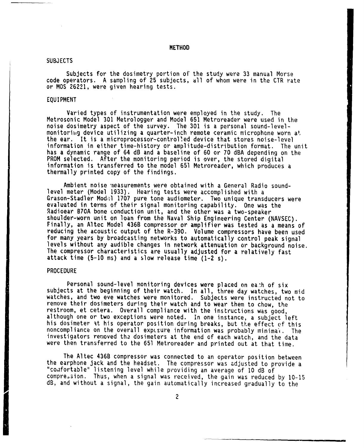METHOD

## SUBJECTS

Subjects for the dosimetry portion of the study were 33 manual Morse code operators. A sampling of 25 subjects, **dll** of whom were in the CTR rate or MOS 26221, were given hearing tests.

# EQUIPMENT

Varied types of instrumentation were employed in the study. The Metrosonic Model 301 Metrologger and Model 651 Metroreader were used in the noise dosimetry aspect of the survey. The 301 is a personal sound-levelmonitoriig device utilizing a quarter-inch remote ceramic microphone worn at the ear. It is a microprocessor-controlled device that stores noise-level information in either time-history or amplitude-distribution format. The unit has a dynamic range of 64 dB and a baseline of 60 or 70 dBA depending on the PROM selected. After the monitoring period is over, the stored digital information is transferred to the model 651 Metroreader, which produces a thermally printed copy of the findings.

Ambient noise 'neasurements were obtained with a General Radio soundlevel meter (Model 1933). Hearing tests were accomplished with a Grason-Stadler Model 1707 pure tone audiometer. Two unique transducers were evaluated in terms of their signal monitoring capability. One was the<br>Radioear B70A bone conduction unit, and the other was a two-speaker shoulder-worn unit on loan from the Naval Ship Engineering Center (NAVSEC).<br>Finally, an Altec Model 436B compressor or amplifier was tested as a means of reducing the acoustic output of the R-390. Volume compressors have been used<br>for many years by broadcasting networks to automatically control peak signal levels without any audible changes in network attenuation or background noise. The compressor characteristics are usually adjusted for a relatively fast attack time (5-10 ms) and a slow release time (1-2 s).

#### PROCEDURE

Personal sound-level monitoring devices were placed on each of six subjects at the beginning of their watch. In all, three day watches, two mid watches, and two eve watches were monitored. Subjects were instructed not to remove their dosimeters during their watch and to wear them to chow, the restroom, et cetera. Overall compliance with the instructions was good, although one or two exceptions were noted. In one instance, a subject left his dosimeter at his operator position during breaks, but the effect **of** this noncompliance on the overall expisure information was probably minima't. The investigators removed the dosimeters at the end of each watch, and the data were then transferred to the 651 Metroreader and printed out at that time.

The Altec 436B compressor was connected to an operator position between the earphone jack and the headset. The compressor was adjusted to provide a ons carphone gack and the headset: The compressor was adjusted to p<br>"comfortable" listening level while providing an average of 10 dB of compression. Thus, when a signal was received, the gain was reduced by 10-15 dB, and without a signal, the gain automatically increased gradually to the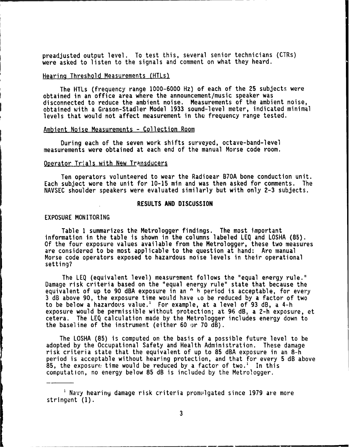preadjusted output level. To test this, several senior technicians (CTRs) were asked to listen to the signals and comment on what they heard.

# Hearing Threshold Measurements (HTLs)

The HTLs (frequency range 1000-6000 Hz) of each of the 25 subjects were obtained in an office area where the announcement/music speaker was disconnected to reduce the ambient noise. Measurements of the ambient noise, obtained with a Grason-Stadler Model 1933 sound-level meter, indicated minimal levels that would not affect measurement in the frequency range tested.

## Ambient Noise Measurements **-** Collection Room

During each of the seven work shifts surveyed, octave-band-level measurements were obtained at each end of the manual Morse code room.

#### Operator Trials with New Transducers

Ten operators volunteered to wear the Radioear B70A bone conduction unit. Each subject wore the unit for 10-15 min and was then asked for comments. The NAVSEC shoulder speakers were evaluated similarly but with only 2-3 subjects.

## RESULTS AND DISCUSSION

# EXPOSURE MONITORING

Table **1** summarizes the Metrologger findings. The most important information in the table is shown in the columns labeled LEQ and LOSHA (85). Of the four exposure values available from the Metrologger, these two measures are considered to be most applicable to the question at hand: Are manual Morse code operators exposed to hazardous noise levels in their operational setting?

The LEQ (equivalent level) measurement follows the "equal energy rule." Damage risk criteria based on the "equal energy rule" state that because the equivalent of up to 90 dBA exposure in an <sup>o</sup> h period is acceptable, for every 3 dB above 90, the exposure time would have Lo be reduced by a factor of two to be below a hazardous value.' For example, at a level of 93 dB, a 4-h exposure would be permissible without protection; at 96 dB, a 2-h exposure, et cetera. The **LEQ** calculation made by the Metrologger includes energy down to the baseline of the instrument (either 60 or 70  $dB$ ).

The LOSHA (85) is computed on the basis of a possible future level to be adopted by the Occupational Safety and Health Administration. These damage risk criteria state that the equivalent of up to 85 dBA exposure in an 8-h period is acceptable without hearing protection, and that for every 5 dB above 85, the exposure time would be reduced by a factor of two.<sup>1</sup> In this computation, no energy below 85 dB is included by the Metrologger.

SNavy hearing damage risk criteria promulgated since 1979 are more

<sup>&</sup>lt;sup>1</sup> Navy hearing damage risk criteria promulgated since 1979 are more stringent (1).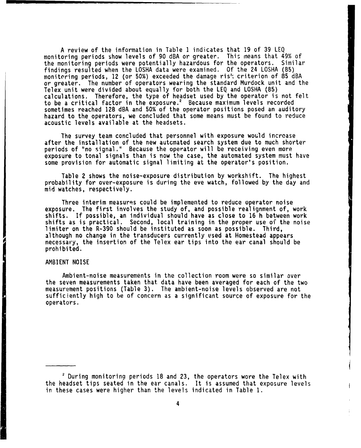A review of the information in Table **I** indicates that 19 of 39 LEQ monitoring periods show levels of **90** dBA or greater. This means that 49% of the monitoring periods were potentially hazardous for the operators. findings resulted when the LOSHA data were examined. Of the 24 LOSHA (85) monitoring periods, 12 (or 50%) exceeded the damage ris': criterion of 85 dBA or greater. The number of operators wearing the standard Murdock unit and the Telex unit were divided about equally for both the LEQ and LOSHA (85) calculations. Therefore, the type of headset used by the operator is not fel to be a critical factor in the exposure.' Because maximum levels recorded sometimes reached 128 dBA and 50% of the operator positions posed an auditory hazard to the operators, we concluded that some means must be found to reduce acoustic levels available at the headsets.

The survey team concluded that personnel with exposure would incroase after the installation of the new autcmated search system due to much shorter periods of "no signal." Because the operator will be receiving even more exposure to tonal signals than is now the case, the automated system must have some provision for automatic signal limiting at the operator's position.

Table 2 shows the noise-exposure distribution by workshift. The highest probability for over-exposure is during the eve watch, followed by the day and mid watches, respectively.

Three interim measures could be implemented to reduce operator noise exposure. The first involves the study of, and possible realignment of, work shifts. If possible, an individual should have as close to 16 h between work shifts as is practical. Second, local training in the proper use of the noise limiter on the R-390 should be instituted as soon as possible. Third, 3lthough no change in the transducers currently used at Homestead appears necessary, the insertion of the Telex ear tips into the ear canal should be prohibited.

## AMBIENT NOISE

Ambient-noise measurements in the collection room were so similar over the seven measurements taken that data have been averaged for each of the two measurement positions (Table 3). The ambient-noise levels observed are not sufficiently high to be of concern as a significant source of exposure for the operators.

2 During monitoring periods 18 and 23, the operators wore the Telex with the headset tips seated in the ear canals. It is assumed that exposure levels in these cases were higher than the levels indicated in Table **1.**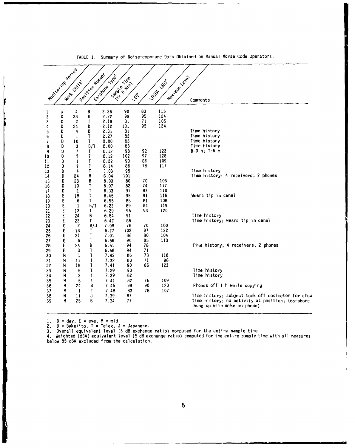|                               | I Montagnación |                    |                   |                       |                          |          |                     |                                                                                 |
|-------------------------------|----------------|--------------------|-------------------|-----------------------|--------------------------|----------|---------------------|---------------------------------------------------------------------------------|
|                               |                | <b>WORK STIRKE</b> | Poor King Million | Earthquare Las        | <b>Samoe River</b><br>La |          | <b>Costa Boston</b> | Maximide due<br>Comments                                                        |
| 1<br>2                        | υ<br>D         | 4<br>33            | В<br>В            | 2.26<br>2.22          | 90<br>99                 | 83<br>95 | 115<br>124          |                                                                                 |
| 3                             | D              | 2                  | T                 | 2.19                  | 81                       | 71       | 105                 |                                                                                 |
| 4                             | D              | 24                 | B                 | 2.12                  | 101                      | 95       | 124                 |                                                                                 |
| 5                             | D<br>D         | 4<br>1             | В<br>T            | 2.31<br>2.27          | 81<br>82                 |          |                     | Time history<br>Time history                                                    |
| 6<br>$\overline{\phantom{a}}$ | D              | 10                 | T                 | 8.00                  | 83                       |          |                     | Time history                                                                    |
| 8                             | D              | 3                  | B/T               | 8.00                  | 86                       |          |                     | Time history                                                                    |
| 9                             | D              | 7                  | T                 | 8.12                  | 98                       | 92       | 123                 | $B-3 h; T-5 h$                                                                  |
| 10                            | D              | 7                  | 7                 | 8.12                  | 102                      | 97       | 128                 |                                                                                 |
| 11                            | D              | 1                  | T                 | 8.22                  | 90                       | 86       | 109                 |                                                                                 |
| 12                            | D              | 7                  | 7<br>T            | 8.14<br>$\hat{C}$ ,03 | 86<br>95                 | 75       | 117                 | Time history                                                                    |
| 13<br>14                      | D<br>D         | 4<br>24            | В                 | 6.04                  | 101                      |          |                     | Time history; 4 receivers; 2 phones                                             |
| 15                            | D              | 23                 | В                 | 6.03                  | 80                       | 70       | 103                 |                                                                                 |
| 16                            | D              | 10                 | T                 | 6.07                  | 82                       | 74       | 117                 |                                                                                 |
| 17                            | D              | $\mathbf{1}$       | T                 | 6.03                  | 91                       | 87       | 110                 |                                                                                 |
| 18                            | E              | 18                 | T                 | 6.45                  | 95                       | 91       | 115                 | Wears tip in canal                                                              |
| 19                            | Ë<br>E         | 6<br>1             | T<br>B/T          | 6.55<br>6.22          | 85<br>89                 | 81<br>84 | 108<br>119          |                                                                                 |
| 20<br>21                      | E              | 13                 | T                 | 6.29                  | 96                       | 93       | 120                 |                                                                                 |
| 22                            | E              | 24                 | В                 | 6.54                  | 91                       |          |                     | Time history                                                                    |
| 23                            |                | 22                 | T                 | 6.42                  | 85                       |          |                     | Time history; wears tip in canal                                                |
| 24                            | E<br>E         | $\boldsymbol{2}$   | B/J               | 7.08                  | 76                       | 70       | 100                 |                                                                                 |
| 25                            | Ē              | 13                 | T                 | 6.27                  | 102                      | 97       | 122                 |                                                                                 |
| 26                            | E              | 21                 | T                 | 7.01                  | 86                       | 80       | 104                 |                                                                                 |
| 27<br>28                      | Ę<br>É         | -6<br>24           | T<br>В            | 6.58<br>6.51          | 90<br>94                 | 85<br>78 | 113                 | Time history; 4 receivers; 2 phones                                             |
| 29                            | E              | 3                  | T                 | 6.58                  | 94                       | 71       |                     |                                                                                 |
| 30                            | M              | 1                  | T                 | 7.42                  | 86                       | 78       | 118                 |                                                                                 |
| 31                            | M              | 11                 | T                 | 7.32                  | 80                       | 71       | 96                  |                                                                                 |
| 32                            | M              | 18                 | T                 | 7.41                  | 90                       | 86       | 123                 |                                                                                 |
| 33                            | M              | 6                  | Τ                 | 7.29                  | 90                       |          |                     | Time history                                                                    |
| 34                            | M              | S                  | T                 | 7.39                  | 82<br>82                 | 76       | 109                 | Time history                                                                    |
| 35<br>36                      | M<br>М         | 6<br>24            | T<br>B            | 7.41<br>7.45          | 99                       | 90       | 120                 | Phones off 1 h while copying                                                    |
| 37                            | M              | $\mathbf{I}$       | T                 | 7.48                  | 83                       | 78       | 107                 |                                                                                 |
| 38                            | M              | $\mathbf{11}$      | J                 | 7.39                  | 87                       |          |                     | Time history; subject took off dosimeter for chow                               |
| 39                            | М              | 25                 | B                 | 7.34                  | 77                       |          |                     | Time history; no activity at position; (earphone<br>hung up with mike on phone) |
|                               |                |                    |                   |                       |                          |          |                     |                                                                                 |

TABLE **1.** Summary of Noisa-expostire Data Obtained on Manual Morse Code Operators.

**1. D** = day, E eve, M = mid.

2. B = Bakelita, T = Telex, J = Japanese. **3,** Overall equivalent level (3 dB exchange ratio) computed for the entire sample time.

1. Weighted (dBA) equivalent level (5 dB exchange ratio) computed for the entire sample time with all measures below 85 dBA excluded from the calculation.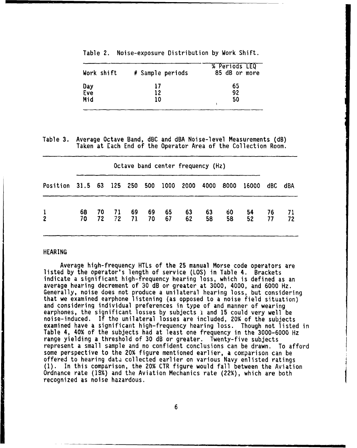| Work shift        | # Sample periods | % Periods LEQ<br>85 dB or more |
|-------------------|------------------|--------------------------------|
| Day<br>Eve<br>Mid | 17<br>12<br>10   | 65<br>92<br>50                 |

Table 2. Noise-exposure Distribution by Work Shift.

Table 3. Average Octave Band, dBC and dBA Noise-level Measurements (dB) Taken at Each End of the Operator Area of the Collection Room.

| Octave band center frequency (Hz) |          |            |           |          |          |          |          |          |          |          |          |           |
|-----------------------------------|----------|------------|-----------|----------|----------|----------|----------|----------|----------|----------|----------|-----------|
| Position 31.5 63 125 250          |          |            |           |          | 500      | 1000     | 2000     | 4000     | 8000     | 16000    | dBC      | dBA       |
| $\frac{1}{2}$                     | 68<br>70 | 70 —<br>72 | -71<br>72 | 69<br>71 | 69<br>70 | 65<br>67 | 63<br>62 | 63<br>58 | 60<br>58 | 54<br>52 | 76<br>77 | -71<br>72 |

# HEARING

and the same of the same of the same of the same of the same of the same of the same of the same of the same of

Average high-frequency HTLs of the 25 manual Morse code operators are listed by the operator's length of service (LOS) in Table 4. Brackets indicate a significant high-frequency hearing loss, which is defined as an average hearing decrement of 30 dB or greater at 3000, 4000, and 6000 Hz.<br>Generally, noise does not produce a unilateral hearing loss, but considering that we examined earphone listening (as opposed to a noise field situation) and considering individual preferences in type of and manner of wearing earphones, the significant losses by subjects **i** and 15 could very well be noise-induced. If the unilateral losses are included, 20% of the subjects examined have a significant high-frequency hearing loss. Though not listed in Table 4, 40% of the subjects had at least one frequency in the 3000-6000 Hz range yielding a threshold of 30 dB or greater. Twenty-five subjects represent a small sample and no confident conclusions can be drawn. To afford some perspective to the 20% figure mentioned earlier, a comparison can be offered to hearing data collected earlier on various Navy enlisted ratings **(1).** In this comparison, the 20% CTR figure would fall between the Aviation Ordnance rate (19%) and the Aviation Mechanics rate (22%), which are both recognized as noise hazardous.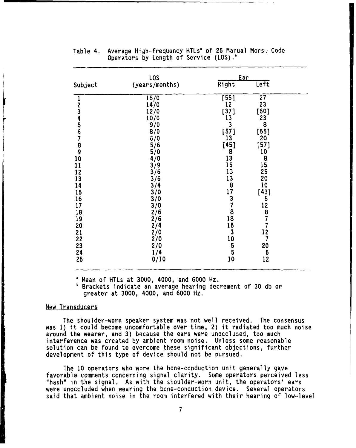| Subject                            | L <sub>0</sub> S<br>(years/months)                                | Ear<br>Right                         | Left                                        |  |
|------------------------------------|-------------------------------------------------------------------|--------------------------------------|---------------------------------------------|--|
|                                    | 15/0<br>14/0                                                      | $\overline{[55]}$<br>$\overline{12}$ | $\overline{27}$<br>23                       |  |
|                                    | 12/0<br>10/0                                                      | [37]<br>13<br>3                      | [60]<br>23<br>8                             |  |
|                                    | 9/0<br>$\frac{8}{6}$<br>$\frac{6}{10}$                            | $[57]$<br>13                         | [55]<br>20                                  |  |
| 1234567890                         | 5/6<br>5/0<br>4/0                                                 | [45]<br>8                            | $[57]$<br>10<br>8                           |  |
| 11<br>12<br>13                     | 3/9<br>$\frac{3}{6}$                                              | 13<br>15<br>13                       | 15<br>25<br>20                              |  |
| $\frac{14}{15}$<br>$\frac{16}{16}$ | 3/4<br>3/0                                                        | 138737818                            | 10<br>[43]                                  |  |
| 17<br>18                           | 3/0<br>3/0                                                        |                                      | 5<br>12                                     |  |
| 19<br>20<br>21                     | $\frac{2}{6}$<br>$\frac{2}{6}$<br>$\frac{2}{4}$<br>$\frac{2}{10}$ | 15<br>$\overline{\mathbf{3}}$        | $\overline{8}$<br>7<br>$\overline{7}$<br>12 |  |
| 22<br>23                           | $\frac{2}{2}$                                                     | 10<br>$\frac{5}{5}$                  | $\overline{7}$<br>20                        |  |
| 24<br>25                           | 1/4<br>0/10                                                       | 10                                   | $\frac{5}{12}$                              |  |

# Table 4. Average High-frequency HTLs' of 25 Manual Morsi Code Operators by Length of Service (LOS).<sup>b</sup>

£ Mean of HTLs at 3000, 4000, and 6000 Hz.

**<sup>b</sup>**Brackets indicate an average hearing decrement of 30 db or greater at 3000, 4000, and 6000 Hz.

# New Transducers

is well as a small state of the same way.

The shoulder-worn speaker system was not well received. The consensus was **1)** it could become uncomfortable over time, 2) it radiated too much noise around the wearer, and 3) because the ears were unoccluded, too much interference was created by ambient room noise. Unless some reasonable solution can be found to overcome these significant objections, further development of this type of device should not be pursued.

The 10 operators who wore the bone-conduction unit generally gave favorable comments concerning signal clarity. Some operators perceived less "hash" in the signal. As with the shoulder-worn unit, the operators' ears were unoccluded when wearing the bone-conduction device. Several operators said that ambient noise in the room interfered with their hearing of low-level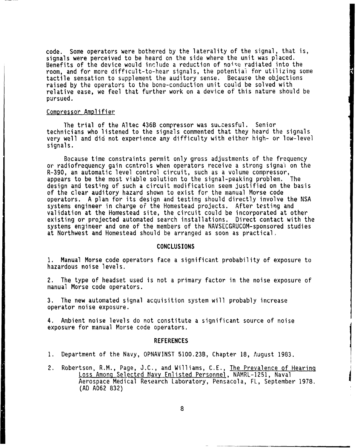code. Some operators were bothered by the laterality of the signal, that is, signals were perceived to be heard on the side where the unit was placed. Benefits of the device would include a reduction of noise radiated into the room, and for more difficult-to-hear signals, the potential for utilizing some tactile sensation to supplement the auditory sense. Because the objections raised by the operators to the bone-conduction unit could be solved with relative ease, we feel that further work on a device of this nature should be pursued.

## Compressor Amplifier

The trial of the Altec 436B compressor was suucessful. Senior technicians who listened to the signals commented that they heard the signals very well and did not experience any difficulty with either high- or low-level signals.

Because time constraints permit only gross adjustments of the frequency or radiofrequency gain ccntrols when operators receive a strong signal on the R-390, an automatic level control circuit, such as a volume compressor, appears to be the most viable solution to the signal-peaking problem. The design and testing of such a circuit modification seem justified on the basis of the clear auditory hazard shown to exist for the manual Morse code operators. A plan for its design and testing should directly involve the NSA systems engineer in charge of the Homestead projects. After testing and validation at the Homestead site, the circuit could be incorporated at other existing or projected automated search installations. Direct contact with the systems engineer and one of the members of the NAVSECGRUCOM-sponsored studies at Northwest and Homestead should be arranged as soon as practical.

#### CONCLUSIONS

**1.** Manual Morse code operators face a significant probability of exposure to hazardous noise levels.

2. The type of headset used is not a primary factor in the noise exposure of manual Morse code operators.

3. The new automated signal acquisition system will probably increase operator noise exposure.

4. Ambient noise levels do not constitute a significant source of noise exposure for manual Morse code operators.

#### REFERENCES

- **1.** Department of the Navy, OPNAVINST 5100.23B, Chapter 18, August 1983.
- 2. Robertson, R.M., Page, J.C., and Williams, C.E., The Prevalence of Hearing Loss Among Selected Navy Enlisted Personnel, NAMRL-1251, Naval Aerospace Medical Research Laboratory, Pensacola, FL, September 1978. (AD A062 832)